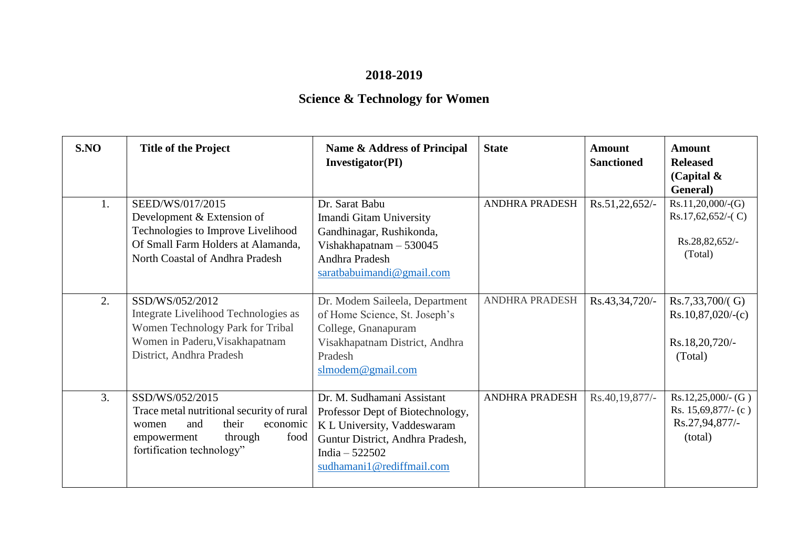## **2018-2019**

## **Science & Technology for Women**

| S.NO | <b>Title of the Project</b>                                                                                                                                      | Name & Address of Principal<br><b>Investigator(PI)</b>                                                                                                                            | <b>State</b>          | Amount<br><b>Sanctioned</b> | <b>Amount</b><br><b>Released</b><br>(Capital $\&$<br>General)            |
|------|------------------------------------------------------------------------------------------------------------------------------------------------------------------|-----------------------------------------------------------------------------------------------------------------------------------------------------------------------------------|-----------------------|-----------------------------|--------------------------------------------------------------------------|
| 1.   | SEED/WS/017/2015<br>Development & Extension of<br>Technologies to Improve Livelihood<br>Of Small Farm Holders at Alamanda,<br>North Coastal of Andhra Pradesh    | Dr. Sarat Babu<br>Imandi Gitam University<br>Gandhinagar, Rushikonda,<br>Vishakhapatnam - 530045<br>Andhra Pradesh<br>saratbabuimandi@gmail.com                                   | <b>ANDHRA PRADESH</b> | Rs.51,22,652/               | Rs.11,20,000/(G)<br>$Rs.17,62,652/-(C)$<br>Rs.28,82,652/-<br>(Total)     |
| 2.   | SSD/WS/052/2012<br>Integrate Livelihood Technologies as<br>Women Technology Park for Tribal<br>Women in Paderu, Visakhapatnam<br>District, Andhra Pradesh        | Dr. Modem Saileela, Department<br>of Home Science, St. Joseph's<br>College, Gnanapuram<br>Visakhapatnam District, Andhra<br>Pradesh<br>slmodem@gmail.com                          | ANDHRA PRADESH        | Rs.43,34,720/-              | $Rs.7,33,700/$ G)<br>$Rs.10,87,020/-(c)$<br>Rs.18,20,720/-<br>(Total)    |
| 3.   | SSD/WS/052/2015<br>Trace metal nutritional security of rural<br>their<br>economic<br>and<br>women<br>through<br>empowerment<br>food<br>fortification technology" | Dr. M. Sudhamani Assistant<br>Professor Dept of Biotechnology,<br>K L University, Vaddeswaram<br>Guntur District, Andhra Pradesh,<br>India $-522502$<br>sudhamani1@rediffmail.com | <b>ANDHRA PRADESH</b> | Rs.40,19,877/-              | $Rs.12,25,000/-(G)$<br>Rs. $15,69,877/-(c)$<br>Rs.27,94,877/-<br>(total) |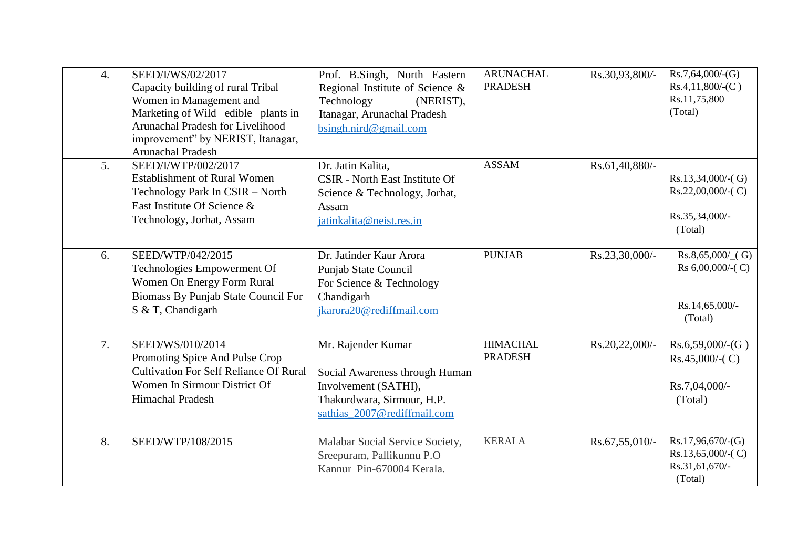| $\overline{4}$ . | SEED/I/WS/02/2017<br>Capacity building of rural Tribal | Prof. B.Singh, North Eastern<br>Regional Institute of Science & | <b>ARUNACHAL</b><br><b>PRADESH</b> | Rs.30,93,800/- | Rs.7,64,000/(G)<br>$Rs.4,11,800/-(C)$        |
|------------------|--------------------------------------------------------|-----------------------------------------------------------------|------------------------------------|----------------|----------------------------------------------|
|                  | Women in Management and                                | Technology<br>(NERIST),                                         |                                    |                | Rs.11,75,800                                 |
|                  | Marketing of Wild edible plants in                     | Itanagar, Arunachal Pradesh                                     |                                    |                | (Total)                                      |
|                  | Arunachal Pradesh for Livelihood                       | bsingh.nird@gmail.com                                           |                                    |                |                                              |
|                  | improvement" by NERIST, Itanagar,                      |                                                                 |                                    |                |                                              |
|                  | Arunachal Pradesh                                      |                                                                 |                                    |                |                                              |
| 5.               | SEED/I/WTP/002/2017                                    | Dr. Jatin Kalita,                                               | <b>ASSAM</b>                       | Rs.61,40,880/- |                                              |
|                  | <b>Establishment of Rural Women</b>                    | <b>CSIR</b> - North East Institute Of                           |                                    |                | $Rs.13,34,000/-(G)$                          |
|                  | Technology Park In CSIR - North                        | Science & Technology, Jorhat,                                   |                                    |                | $Rs.22,00,000/-(C)$                          |
|                  | East Institute Of Science &                            | Assam                                                           |                                    |                |                                              |
|                  | Technology, Jorhat, Assam                              | jatinkalita@neist.res.in                                        |                                    |                | Rs.35,34,000/-                               |
|                  |                                                        |                                                                 |                                    |                | (Total)                                      |
|                  |                                                        |                                                                 |                                    |                |                                              |
| 6.               | SEED/WTP/042/2015                                      | Dr. Jatinder Kaur Arora                                         | <b>PUNJAB</b>                      | Rs.23,30,000/- | $Rs.8,65,000/$ (G)<br>Rs $6,00,000/$ - $(C)$ |
|                  | Technologies Empowerment Of                            | Punjab State Council                                            |                                    |                |                                              |
|                  | Women On Energy Form Rural                             | For Science & Technology                                        |                                    |                |                                              |
|                  | Biomass By Punjab State Council For                    | Chandigarh                                                      |                                    |                | Rs.14,65,000/-                               |
|                  | S & T, Chandigarh                                      | jkarora20@rediffmail.com                                        |                                    |                | (Total)                                      |
|                  |                                                        |                                                                 |                                    |                |                                              |
| 7.               | SEED/WS/010/2014                                       | Mr. Rajender Kumar                                              | <b>HIMACHAL</b>                    | Rs.20,22,000/- | Rs.6,59,000/(G)                              |
|                  | Promoting Spice And Pulse Crop                         |                                                                 | <b>PRADESH</b>                     |                | $Rs.45,000/-(C)$                             |
|                  | <b>Cultivation For Self Reliance Of Rural</b>          | Social Awareness through Human                                  |                                    |                |                                              |
|                  | Women In Sirmour District Of                           | Involvement (SATHI),                                            |                                    |                | Rs.7,04,000/-                                |
|                  | Himachal Pradesh                                       | Thakurdwara, Sirmour, H.P.                                      |                                    |                | (Total)                                      |
|                  |                                                        | sathias_2007@rediffmail.com                                     |                                    |                |                                              |
|                  |                                                        |                                                                 |                                    |                |                                              |
| 8.               | SEED/WTP/108/2015                                      | Malabar Social Service Society,                                 | <b>KERALA</b>                      | Rs.67,55,010/- | Rs.17,96,670/(G)                             |
|                  |                                                        | Sreepuram, Pallikunnu P.O                                       |                                    |                | $Rs.13,65,000/-(C)$                          |
|                  |                                                        | Kannur Pin-670004 Kerala.                                       |                                    |                | Rs.31,61,670/-                               |
|                  |                                                        |                                                                 |                                    |                | (Total)                                      |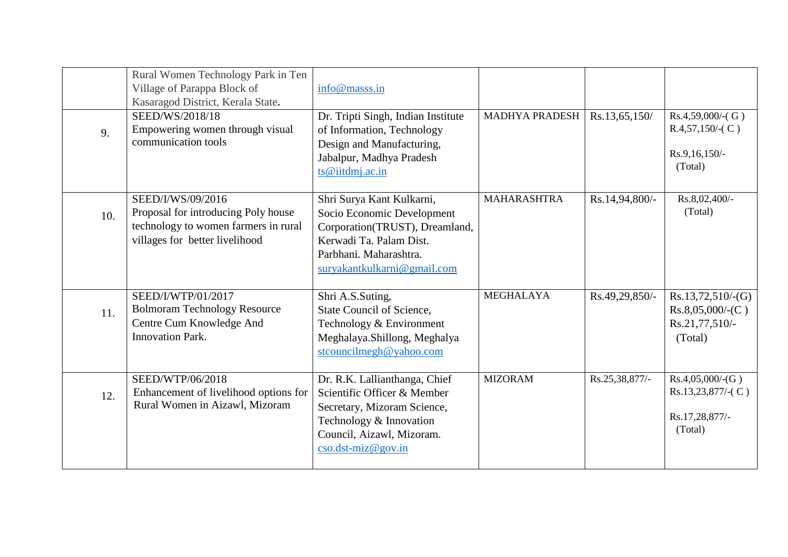|     | Rural Women Technology Park in Ten<br>Village of Parappa Block of<br>Kasaragod District, Kerala State.                             | info@masss.in                                                                                                                                                                 |                       |                |                                                                         |
|-----|------------------------------------------------------------------------------------------------------------------------------------|-------------------------------------------------------------------------------------------------------------------------------------------------------------------------------|-----------------------|----------------|-------------------------------------------------------------------------|
| 9.  | SEED/WS/2018/18<br>Empowering women through visual<br>communication tools                                                          | Dr. Tripti Singh, Indian Institute<br>of Information, Technology<br>Design and Manufacturing,<br>Jabalpur, Madhya Pradesh<br>ts@iitdmj.ac.in                                  | <b>MADHYA PRADESH</b> | Rs.13,65,150/  | $Rs.4,59,000/-(G)$<br>$R.4,57,150/$ - $(C)$<br>Rs.9,16,150/-<br>(Total) |
| 10. | SEED/I/WS/09/2016<br>Proposal for introducing Poly house<br>technology to women farmers in rural<br>villages for better livelihood | Shri Surya Kant Kulkarni,<br>Socio Economic Development<br>Corporation(TRUST), Dreamland,<br>Kerwadi Ta. Palam Dist.<br>Parbhani. Maharashtra.<br>suryakantkulkarni@gmail.com | <b>MAHARASHTRA</b>    | Rs.14,94,800/- | Rs.8,02,400/-<br>(Total)                                                |
| 11. | SEED/I/WTP/01/2017<br><b>Bolmoram Technology Resource</b><br>Centre Cum Knowledge And<br><b>Innovation Park.</b>                   | Shri A.S.Suting,<br>State Council of Science,<br>Technology & Environment<br>Meghalaya.Shillong, Meghalya<br>stcouncilmegh@yahoo.com                                          | <b>MEGHALAYA</b>      | Rs.49,29,850/- | $Rs.13,72,510/-(G)$<br>$Rs.8,05,000/-(C)$<br>Rs.21,77,510/-<br>(Total)  |
| 12. | SEED/WTP/06/2018<br>Enhancement of livelihood options for<br>Rural Women in Aizawl, Mizoram                                        | Dr. R.K. Lallianthanga, Chief<br>Scientific Officer & Member<br>Secretary, Mizoram Science,<br>Technology & Innovation<br>Council, Aizawl, Mizoram.<br>$\csc d$ st-miz@gov.in | <b>MIZORAM</b>        | Rs.25,38,877/- | Rs.4,05,000/(G)<br>Rs.13,23,877/-(C)<br>Rs.17,28,877/-<br>(Total)       |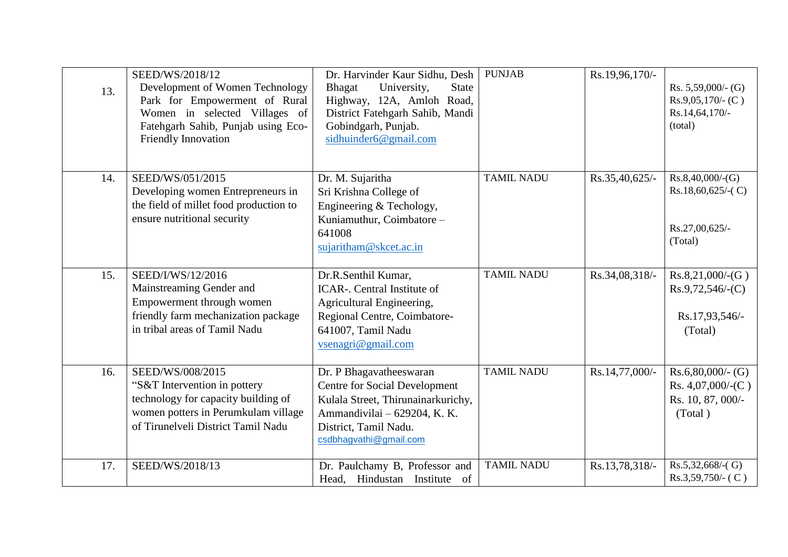| 13. | SEED/WS/2018/12<br>Development of Women Technology<br>Park for Empowerment of Rural<br>Women in selected Villages of<br>Fatehgarh Sahib, Punjab using Eco-<br>Friendly Innovation | Dr. Harvinder Kaur Sidhu, Desh<br>Bhagat<br>University,<br><b>State</b><br>Highway, 12A, Amloh Road,<br>District Fatehgarh Sahib, Mandi<br>Gobindgarh, Punjab.<br>sidhuinder6@gmail.com  | <b>PUNJAB</b>     | Rs.19,96,170/- | Rs. $5,59,000/$ - (G)<br>$Rs.9,05,170/$ - (C)<br>Rs.14,64,170/-<br>(total) |
|-----|-----------------------------------------------------------------------------------------------------------------------------------------------------------------------------------|------------------------------------------------------------------------------------------------------------------------------------------------------------------------------------------|-------------------|----------------|----------------------------------------------------------------------------|
| 14. | SEED/WS/051/2015<br>Developing women Entrepreneurs in<br>the field of millet food production to<br>ensure nutritional security                                                    | Dr. M. Sujaritha<br>Sri Krishna College of<br>Engineering & Techology,<br>Kuniamuthur, Coimbatore-<br>641008<br>sujaritham@skcet.ac.in                                                   | <b>TAMIL NADU</b> | Rs.35,40,625/- | Rs.8,40,000/(G)<br>$Rs.18,60,625/-(C)$<br>Rs.27,00,625/-<br>(Total)        |
| 15. | SEED/I/WS/12/2016<br>Mainstreaming Gender and<br>Empowerment through women<br>friendly farm mechanization package<br>in tribal areas of Tamil Nadu                                | Dr.R.Senthil Kumar,<br><b>ICAR-.</b> Central Institute of<br>Agricultural Engineering,<br>Regional Centre, Coimbatore-<br>641007, Tamil Nadu<br>$v$ senagri@gmail.com                    | <b>TAMIL NADU</b> | Rs.34,08,318/- | Rs.8,21,000/(G)<br>$Rs.9,72,546/-(C)$<br>Rs.17,93,546/-<br>(Total)         |
| 16. | SEED/WS/008/2015<br>"S&T Intervention in pottery<br>technology for capacity building of<br>women potters in Perumkulam village<br>of Tirunelveli District Tamil Nadu              | Dr. P Bhagavatheeswaran<br><b>Centre for Social Development</b><br>Kulala Street, Thirunainarkurichy,<br>Ammandivilai - 629204, K. K.<br>District, Tamil Nadu.<br>csdbhagvathi@gmail.com | <b>TAMIL NADU</b> | Rs.14,77,000/- | $Rs.6,80,000/-(G)$<br>Rs. $4,07,000/$ -(C)<br>Rs. 10, 87, 000/-<br>(Total) |
| 17. | SEED/WS/2018/13                                                                                                                                                                   | Dr. Paulchamy B, Professor and<br>Head, Hindustan Institute<br>of                                                                                                                        | <b>TAMIL NADU</b> | Rs.13,78,318/- | $Rs.5,32,668$ /-(G)<br>$Rs.3,59,750/-(C)$                                  |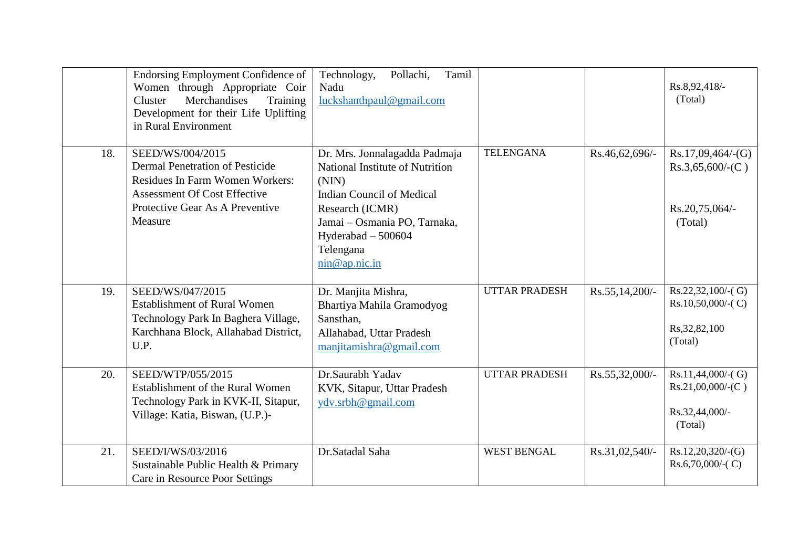|     | <b>Endorsing Employment Confidence of</b><br>Women through Appropriate Coir<br>Merchandises<br>Training<br>Cluster<br>Development for their Life Uplifting<br>in Rural Environment | Tamil<br>Pollachi,<br>Technology,<br>Nadu<br>luckshanthpaul@gmail.com                                                                                                                                                  |                      |                | Rs.8,92,418/-<br>(Total)                                                 |
|-----|------------------------------------------------------------------------------------------------------------------------------------------------------------------------------------|------------------------------------------------------------------------------------------------------------------------------------------------------------------------------------------------------------------------|----------------------|----------------|--------------------------------------------------------------------------|
| 18. | SEED/WS/004/2015<br>Dermal Penetration of Pesticide<br><b>Residues In Farm Women Workers:</b><br><b>Assessment Of Cost Effective</b><br>Protective Gear As A Preventive<br>Measure | Dr. Mrs. Jonnalagadda Padmaja<br>National Institute of Nutrition<br>(NIN)<br><b>Indian Council of Medical</b><br>Research (ICMR)<br>Jamai - Osmania PO, Tarnaka,<br>Hyderabad $-500604$<br>Telengana<br>nin @ap.nic.in | <b>TELENGANA</b>     | Rs.46,62,696/- | Rs.17,09,464/(G)<br>$Rs.3,65,600/-(C)$<br>Rs.20,75,064/-<br>(Total)      |
| 19. | SEED/WS/047/2015<br><b>Establishment of Rural Women</b><br>Technology Park In Baghera Village,<br>Karchhana Block, Allahabad District,<br>U.P.                                     | Dr. Manjita Mishra,<br>Bhartiya Mahila Gramodyog<br>Sansthan,<br>Allahabad, Uttar Pradesh<br>manjitamishra@gmail.com                                                                                                   | <b>UTTAR PRADESH</b> | Rs.55,14,200/- | $Rs.22,32,100/-(G)$<br>$Rs.10,50,000/-(C)$<br>Rs, 32, 82, 100<br>(Total) |
| 20. | SEED/WTP/055/2015<br>Establishment of the Rural Women<br>Technology Park in KVK-II, Sitapur,<br>Village: Katia, Biswan, (U.P.)-                                                    | Dr.Saurabh Yadav<br>KVK, Sitapur, Uttar Pradesh<br>ydv.srbh@gmail.com                                                                                                                                                  | <b>UTTAR PRADESH</b> | Rs.55,32,000/- | $Rs.11,44,000/-(G)$<br>$Rs.21,00,000/-(C)$<br>Rs.32,44,000/-<br>(Total)  |
| 21. | SEED/I/WS/03/2016<br>Sustainable Public Health & Primary<br>Care in Resource Poor Settings                                                                                         | Dr.Satadal Saha                                                                                                                                                                                                        | <b>WEST BENGAL</b>   | Rs.31,02,540/- | Rs.12,20,320/(G)<br>$Rs.6,70,000/-(C)$                                   |